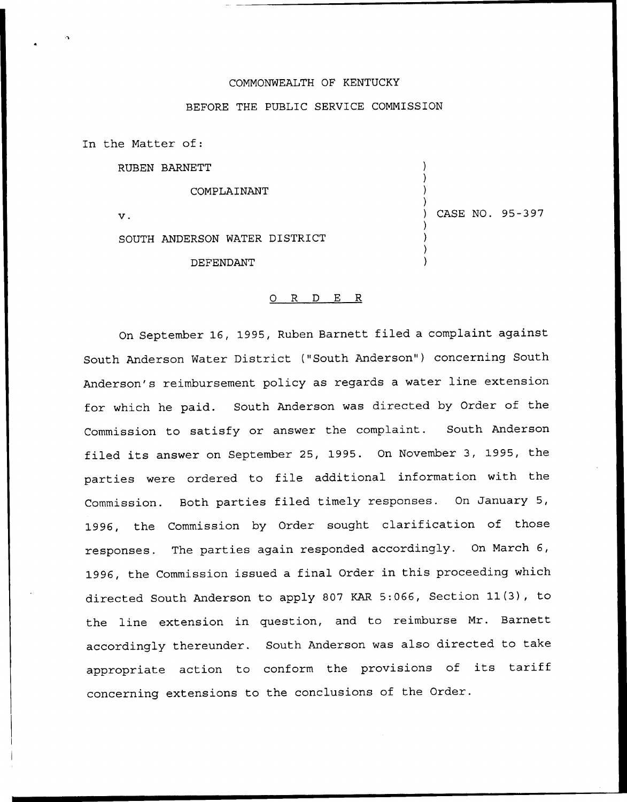## COMMONWEALTH OF KENTUCKY

## BEFORE THE PUBLIC SERVICE COMMISSION

In the Matter of:

RUBEN BARNETT

COMPLAINANT

 $\mathbf v$  .

) CASE NO. 95-397

) ) ) )

> ) ) ) )

SOUTH ANDERSON WATER DISTRICT

DEFENDANT

## 0 R <sup>D</sup> E R

On September 16, 1995, Ruben Barnett filed a complaint against South Anderson Water District ("South Anderson") concerning South Anderson's reimbursement policy as regards a water line extension for which he paid. South Anderson was directed by Order of the Commission to satisfy or answer the complaint. South Anderson filed its answer on September 25, 1995. On November 3, 1995, the parties were ordered to file additional information with the Commission. Both parties filed timely responses. On January 5, 1996, the Commission by Order sought clarification of those responses. The parties again responded accordingly. On March 6, 1996, the Commission issued a final Order in this proceeding which directed South Anderson to apply <sup>807</sup> KAR 5:066, Section 11(3), to the line extension in question, and to reimburse Mr. Barnett accordingly thereunder. South Anderson was also directed to take appropriate action to conform the provisions of its tariff concerning extensions to the conclusions of the Order.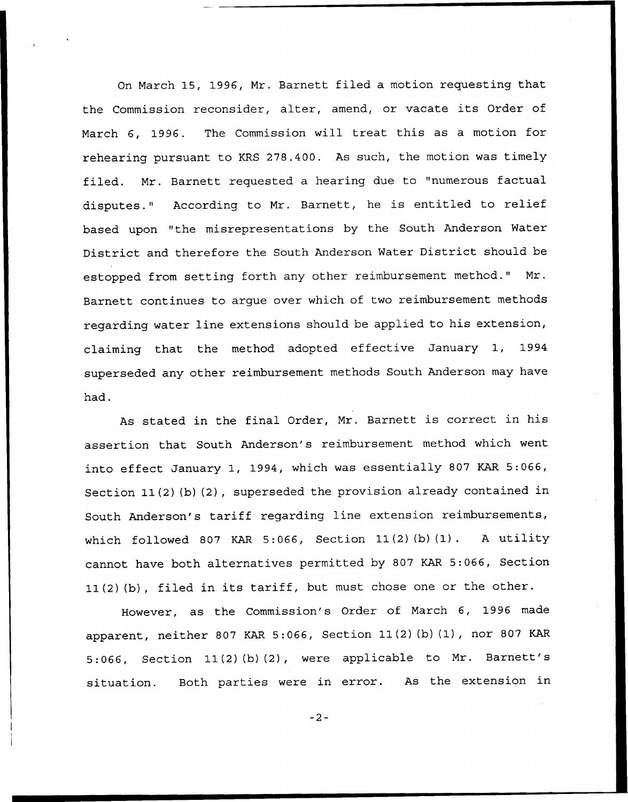On March 15, 1996, Mr. Barnett filed a motion requesting that the Commission reconsider, alter, amend, or vacate its Order of March 6, 1996. The Commission will treat this as a motion for rehearing pursuant to KRS 278.400. As such, the motion was timely filed. Nr. Barnett requested a hearing due to "numerous factual disputes." According to Mr. Barnett, he is entitled to relief based upon "the misrepresentations by the South Anderson Water District and therefore the South Anderson Water District should be estopped from setting forth any other reimbursement method." Nr. Barnett continues to argue over which of two reimbursement methods regarding water line extensions should be applied to his extension, claiming that the method adopted effective January 1, 1994 superseded any other reimbursement methods South Anderson may have had.

As stated in the final Order, Nr. Barnett is correct in his assertion that South Anderson's reimbursement method which went into effect January 1, 1994, which was essentially 807 KAR 5:066, Section 11(2)(b)(2), superseded the provision already contained in South Anderson's tariff regarding line extension reimbursements, which followed 807 KAR 5:066, Section  $11(2)$  (b)  $(1)$ . A utility cannot have both alternatives permitted by 807 KAR 5:066, Section 11(2) {b), filed in its tariff, but must chose one or the other.

However, as the Commission's Order of March 6, 1996 made apparent, neither <sup>807</sup> KAR 5:066, Section 11(2)(b)(1), nor <sup>807</sup> KAR 5:066, Section 11(2)(b)(2}, were applicable to Nr. Barnett's situation. Both parties were in error. As the extension in

 $-2-$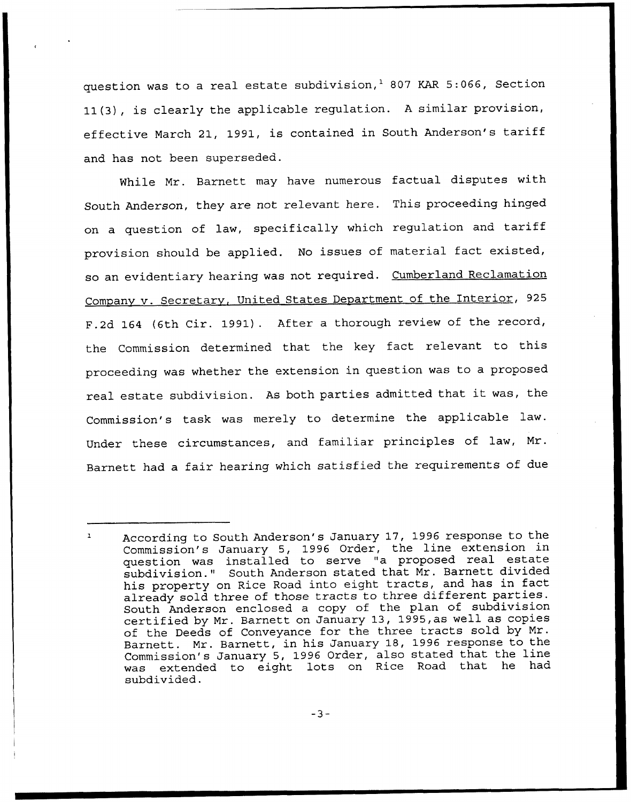question was to a real estate subdivision, $^{1}$  807 KAR 5:066, Section 11(3), is clearly the applicable regulation. A similar provision, effective March 21, 1991, is contained in South Anderson's tariff and has not been superseded.

While Mr. Barnett may have numerous factual disputes with South Anderson, they are not relevant here. This proceeding hinged on <sup>a</sup> question of law, specifically which regulation and tariff provision should be applied. No issues of material fact existed, so an evidentiary hearing was not required. Cumberland Reclamation Company v. Secretary, United States Department of the Interior, 925 F.2d 164 (6th Cir. 1991). After <sup>a</sup> thorough review of the record, the Commission determined that the key fact relevant to this proceeding was whether the extension in question was to a proposed real estate subdivision. As both parties admitted that it was, the Commission's task was merely to determine the applicable law. Under these circumstances, and familiar principles of law, Mr. Barnett had a fair hearing which satisfied the requirements of due

According to South Anderson's January 17, 1996 response to the Commission's January 5, 1996 Order, the line extension in question was installed to serve "a proposed real estate subdivision." South Anderson stated that Mr. Barnett divide his property on Rice Road into eight tracts, and has in fact already sold three of those tracts to three different parties. South Anderson enclosed a copy of the plan of subdivision certified by Mr. Barnett on January 13, 1995,as well as copies of the Deeds of Conveyance for the three tracts sold by Mr. Barnett. Mr. Barnett, in his January 18, 1996 response to the Commission's January 5, 1996 Order, also stated that the line was extended to eight lots on Rice Road that he had subdivided.